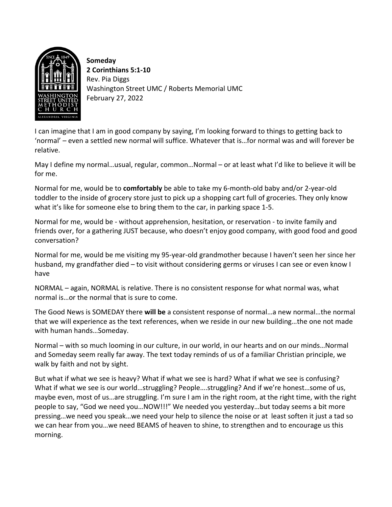

**Someday 2 Corinthians 5:1-10** Rev. Pia Diggs Washington Street UMC / Roberts Memorial UMC February 27, 2022

I can imagine that I am in good company by saying, I'm looking forward to things to getting back to 'normal' – even a settled new normal will suffice. Whatever that is…for normal was and will forever be relative.

May I define my normal…usual, regular, common…Normal – or at least what I'd like to believe it will be for me.

Normal for me, would be to **comfortably** be able to take my 6-month-old baby and/or 2-year-old toddler to the inside of grocery store just to pick up a shopping cart full of groceries. They only know what it's like for someone else to bring them to the car, in parking space 1-5.

Normal for me, would be - without apprehension, hesitation, or reservation - to invite family and friends over, for a gathering JUST because, who doesn't enjoy good company, with good food and good conversation?

Normal for me, would be me visiting my 95-year-old grandmother because I haven't seen her since her husband, my grandfather died – to visit without considering germs or viruses I can see or even know I have

NORMAL – again, NORMAL is relative. There is no consistent response for what normal was, what normal is…or the normal that is sure to come.

The Good News is SOMEDAY there **will be** a consistent response of normal…a new normal…the normal that we will experience as the text references, when we reside in our new building…the one not made with human hands…Someday.

Normal – with so much looming in our culture, in our world, in our hearts and on our minds…Normal and Someday seem really far away. The text today reminds of us of a familiar Christian principle, we walk by faith and not by sight.

But what if what we see is heavy? What if what we see is hard? What if what we see is confusing? What if what we see is our world…struggling? People….struggling? And if we're honest…some of us, maybe even, most of us…are struggling. I'm sure I am in the right room, at the right time, with the right people to say, "God we need you…NOW!!!" We needed you yesterday…but today seems a bit more pressing…we need you speak…we need your help to silence the noise or at least soften it just a tad so we can hear from you…we need BEAMS of heaven to shine, to strengthen and to encourage us this morning.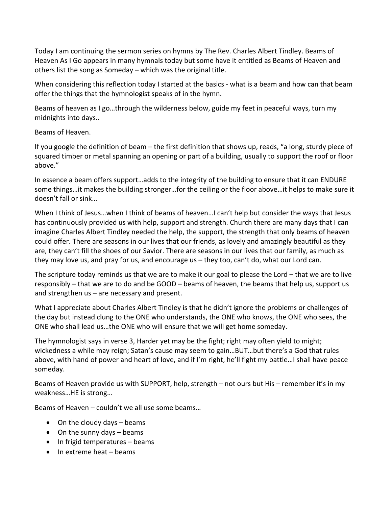Today I am continuing the sermon series on hymns by The Rev. Charles Albert Tindley. Beams of Heaven As I Go appears in many hymnals today but some have it entitled as Beams of Heaven and others list the song as Someday – which was the original title.

When considering this reflection today I started at the basics - what is a beam and how can that beam offer the things that the hymnologist speaks of in the hymn.

Beams of heaven as I go…through the wilderness below, guide my feet in peaceful ways, turn my midnights into days..

Beams of Heaven.

If you google the definition of beam – the first definition that shows up, reads, "a long, sturdy piece of squared timber or metal spanning an opening or part of a building, usually to support the roof or floor above."

In essence a beam offers support…adds to the integrity of the building to ensure that it can ENDURE some things…it makes the building stronger…for the ceiling or the floor above…it helps to make sure it doesn't fall or sink…

When I think of Jesus…when I think of beams of heaven…I can't help but consider the ways that Jesus has continuously provided us with help, support and strength. Church there are many days that I can imagine Charles Albert Tindley needed the help, the support, the strength that only beams of heaven could offer. There are seasons in our lives that our friends, as lovely and amazingly beautiful as they are, they can't fill the shoes of our Savior. There are seasons in our lives that our family, as much as they may love us, and pray for us, and encourage us – they too, can't do, what our Lord can.

The scripture today reminds us that we are to make it our goal to please the Lord – that we are to live responsibly – that we are to do and be GOOD – beams of heaven, the beams that help us, support us and strengthen us – are necessary and present.

What I appreciate about Charles Albert Tindley is that he didn't ignore the problems or challenges of the day but instead clung to the ONE who understands, the ONE who knows, the ONE who sees, the ONE who shall lead us…the ONE who will ensure that we will get home someday.

The hymnologist says in verse 3, Harder yet may be the fight; right may often yield to might; wickedness a while may reign; Satan's cause may seem to gain…BUT…but there's a God that rules above, with hand of power and heart of love, and if I'm right, he'll fight my battle…I shall have peace someday.

Beams of Heaven provide us with SUPPORT, help, strength – not ours but His – remember it's in my weakness…HE is strong…

Beams of Heaven – couldn't we all use some beams…

- On the cloudy days beams
- On the sunny days beams
- In frigid temperatures beams
- In extreme heat beams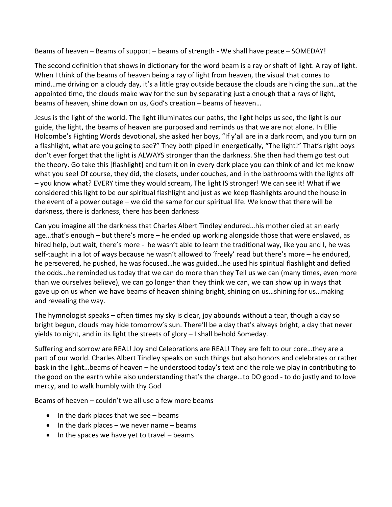Beams of heaven – Beams of support – beams of strength - We shall have peace – SOMEDAY!

The second definition that shows in dictionary for the word beam is a ray or shaft of light. A ray of light. When I think of the beams of heaven being a ray of light from heaven, the visual that comes to mind…me driving on a cloudy day, it's a little gray outside because the clouds are hiding the sun…at the appointed time, the clouds make way for the sun by separating just a enough that a rays of light, beams of heaven, shine down on us, God's creation – beams of heaven…

Jesus is the light of the world. The light illuminates our paths, the light helps us see, the light is our guide, the light, the beams of heaven are purposed and reminds us that we are not alone. In Ellie Holcombe's Fighting Words devotional, she asked her boys, "If y'all are in a dark room, and you turn on a flashlight, what are you going to see?" They both piped in energetically, "The light!" That's right boys don't ever forget that the light is ALWAYS stronger than the darkness. She then had them go test out the theory. Go take this [flashlight] and turn it on in every dark place you can think of and let me know what you see! Of course, they did, the closets, under couches, and in the bathrooms with the lights off – you know what? EVERY time they would scream, The light IS stronger! We can see it! What if we considered this light to be our spiritual flashlight and just as we keep flashlights around the house in the event of a power outage – we did the same for our spiritual life. We know that there will be darkness, there is darkness, there has been darkness

Can you imagine all the darkness that Charles Albert Tindley endured…his mother died at an early age…that's enough – but there's more – he ended up working alongside those that were enslaved, as hired help, but wait, there's more - he wasn't able to learn the traditional way, like you and I, he was self-taught in a lot of ways because he wasn't allowed to 'freely' read but there's more – he endured, he persevered, he pushed, he was focused…he was guided…he used his spiritual flashlight and defied the odds…he reminded us today that we can do more than they Tell us we can (many times, even more than we ourselves believe), we can go longer than they think we can, we can show up in ways that gave up on us when we have beams of heaven shining bright, shining on us…shining for us…making and revealing the way.

The hymnologist speaks – often times my sky is clear, joy abounds without a tear, though a day so bright begun, clouds may hide tomorrow's sun. There'll be a day that's always bright, a day that never yields to night, and in its light the streets of glory – I shall behold Someday.

Suffering and sorrow are REAL! Joy and Celebrations are REAL! They are felt to our core…they are a part of our world. Charles Albert Tindley speaks on such things but also honors and celebrates or rather bask in the light…beams of heaven – he understood today's text and the role we play in contributing to the good on the earth while also understanding that's the charge…to DO good - to do justly and to love mercy, and to walk humbly with thy God

Beams of heaven – couldn't we all use a few more beams

- In the dark places that we see beams
- $\bullet$  In the dark places we never name beams
- In the spaces we have yet to travel beams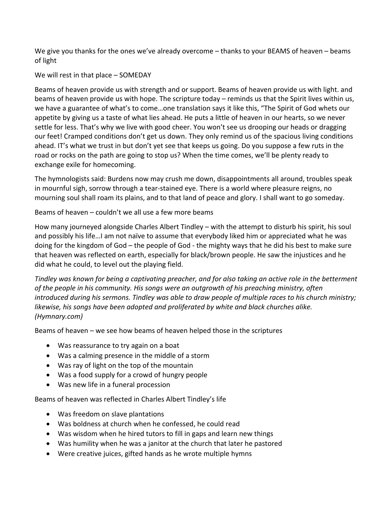We give you thanks for the ones we've already overcome – thanks to your BEAMS of heaven – beams of light

We will rest in that place – SOMEDAY

Beams of heaven provide us with strength and or support. Beams of heaven provide us with light. and beams of heaven provide us with hope. The scripture today – reminds us that the Spirit lives within us, we have a guarantee of what's to come…one translation says it like this, "The Spirit of God whets our appetite by giving us a taste of what lies ahead. He puts a little of heaven in our hearts, so we never settle for less. That's why we live with good cheer. You won't see us drooping our heads or dragging our feet! Cramped conditions don't get us down. They only remind us of the spacious living conditions ahead. IT's what we trust in but don't yet see that keeps us going. Do you suppose a few ruts in the road or rocks on the path are going to stop us? When the time comes, we'll be plenty ready to exchange exile for homecoming.

The hymnologists said: Burdens now may crush me down, disappointments all around, troubles speak in mournful sigh, sorrow through a tear-stained eye. There is a world where pleasure reigns, no mourning soul shall roam its plains, and to that land of peace and glory. I shall want to go someday.

Beams of heaven – couldn't we all use a few more beams

How many journeyed alongside Charles Albert Tindley – with the attempt to disturb his spirit, his soul and possibly his life…I am not naïve to assume that everybody liked him or appreciated what he was doing for the kingdom of God – the people of God - the mighty ways that he did his best to make sure that heaven was reflected on earth, especially for black/brown people. He saw the injustices and he did what he could, to level out the playing field.

*Tindley was known for being a captivating preacher, and for also taking an active role in the betterment of the people in his community. His songs were an outgrowth of his preaching ministry, often introduced during his sermons. Tindley was able to draw people of multiple races to his church ministry; likewise, his songs have been adopted and proliferated by white and black churches alike. (Hymnary.com)* 

Beams of heaven – we see how beams of heaven helped those in the scriptures

- Was reassurance to try again on a boat
- Was a calming presence in the middle of a storm
- Was ray of light on the top of the mountain
- Was a food supply for a crowd of hungry people
- Was new life in a funeral procession

Beams of heaven was reflected in Charles Albert Tindley's life

- Was freedom on slave plantations
- Was boldness at church when he confessed, he could read
- Was wisdom when he hired tutors to fill in gaps and learn new things
- Was humility when he was a janitor at the church that later he pastored
- Were creative juices, gifted hands as he wrote multiple hymns